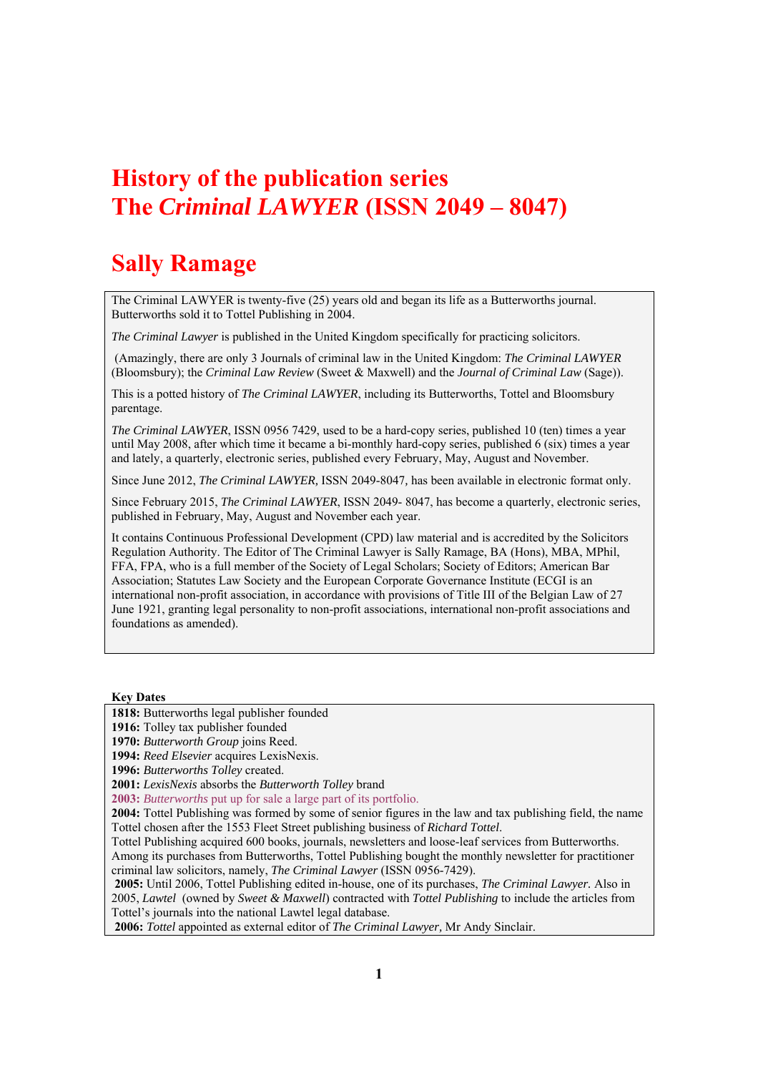## **History of the publication series The** *Criminal LAWYER* **(ISSN 2049 – 8047)**

## **Sally Ramage**

The Criminal LAWYER is twenty-five (25) years old and began its life as a Butterworths journal. Butterworths sold it to Tottel Publishing in 2004.

*The Criminal Lawyer* is published in the United Kingdom specifically for practicing solicitors.

 (Amazingly, there are only 3 Journals of criminal law in the United Kingdom: *The Criminal LAWYER*  (Bloomsbury); the *Criminal Law Review* (Sweet & Maxwell) and the *Journal of Criminal Law* (Sage)).

This is a potted history of *The Criminal LAWYER*, including its Butterworths, Tottel and Bloomsbury parentage.

*The Criminal LAWYER*, ISSN 0956 7429, used to be a hard-copy series, published 10 (ten) times a year until May 2008, after which time it became a bi-monthly hard-copy series, published 6 (six) times a year and lately, a quarterly, electronic series, published every February, May, August and November.

Since June 2012, *The Criminal LAWYER,* ISSN 2049-8047*,* has been available in electronic format only.

Since February 2015, *The Criminal LAWYER*, ISSN 2049- 8047, has become a quarterly, electronic series, published in February, May, August and November each year.

It contains Continuous Professional Development (CPD) law material and is accredited by the Solicitors Regulation Authority. The Editor of The Criminal Lawyer is Sally Ramage, BA (Hons), MBA, MPhil, FFA, FPA, who is a full member of the Society of Legal Scholars; Society of Editors; American Bar Association; Statutes Law Society and the European Corporate Governance Institute (ECGI is an international non-profit association, in accordance with provisions of Title III of the Belgian Law of 27 June 1921, granting legal personality to non-profit associations, international non-profit associations and foundations as amended).

### **Key Dates**

**1818:** Butterworths legal publisher founded

**1916:** Tolley tax publisher founded

**1970:** *Butterworth Group* joins Reed.

**1994:** *Reed Elsevier* acquires LexisNexis.

**1996:** *Butterworths Tolley* created.

**2001:** *LexisNexis* absorbs the *Butterworth Tolley* brand

**2003:** *Butterworths* put up for sale a large part of its portfolio.

**2004:** Tottel Publishing was formed by some of senior figures in the law and tax publishing field, the name Tottel chosen after the 1553 Fleet Street publishing business of *Richard Tottel*.

Tottel Publishing acquired 600 books, journals, newsletters and loose-leaf services from Butterworths.

Among its purchases from Butterworths, Tottel Publishing bought the monthly newsletter for practitioner criminal law solicitors, namely, *The Criminal Lawyer* (ISSN 0956-7429).

**2005:** Until 2006, Tottel Publishing edited in-house, one of its purchases, *The Criminal Lawyer.* Also in 2005, *Lawtel* (owned by *Sweet & Maxwell*) contracted with *Tottel Publishing* to include the articles from Tottel's journals into the national Lawtel legal database.

 **2006:** *Tottel* appointed as external editor of *The Criminal Lawyer,* Mr Andy Sinclair.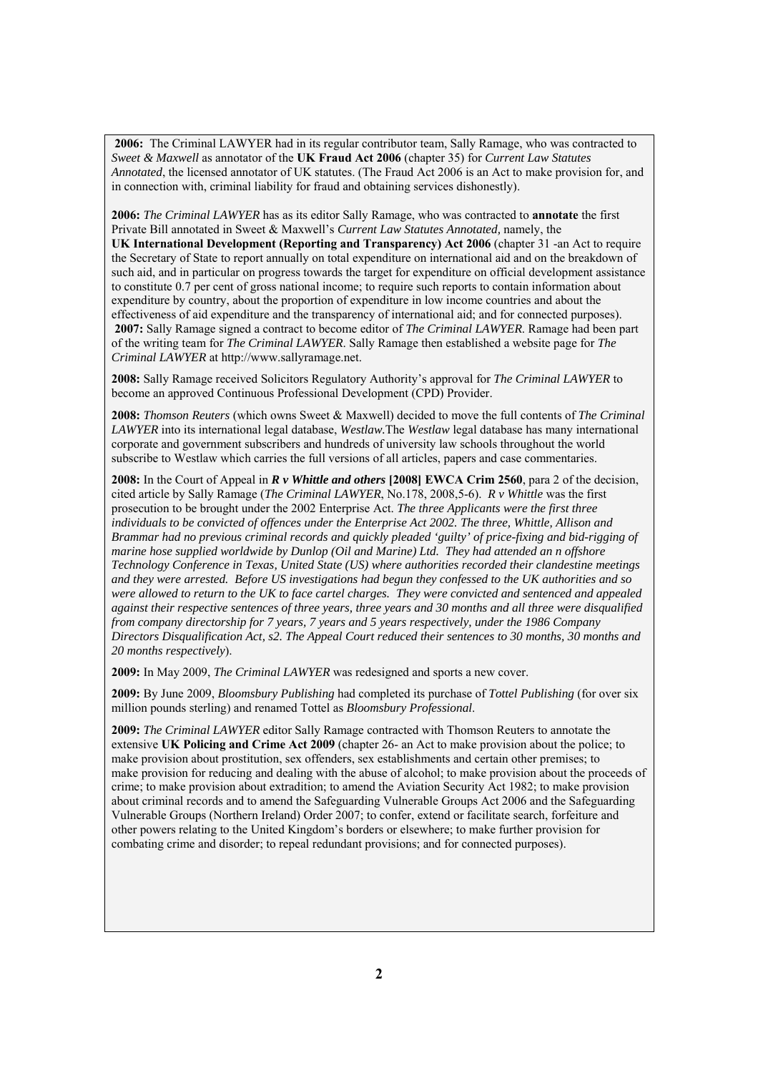**2006:** The Criminal LAWYER had in its regular contributor team, Sally Ramage, who was contracted to *Sweet & Maxwell* as annotator of the **UK Fraud Act 2006** (chapter 35) for *Current Law Statutes Annotated*, the licensed annotator of UK statutes. (The Fraud Act 2006 is an Act to make provision for, and in connection with, criminal liability for fraud and obtaining services dishonestly).

**2006:** *The Criminal LAWYER* has as its editor Sally Ramage, who was contracted to **annotate** the first Private Bill annotated in Sweet & Maxwell's *Current Law Statutes Annotated,* namely, the **UK International Development (Reporting and Transparency) Act 2006** (chapter 31 -an Act to require the Secretary of State to report annually on total expenditure on international aid and on the breakdown of such aid, and in particular on progress towards the target for expenditure on official development assistance to constitute 0.7 per cent of gross national income; to require such reports to contain information about expenditure by country, about the proportion of expenditure in low income countries and about the effectiveness of aid expenditure and the transparency of international aid; and for connected purposes). **2007:** Sally Ramage signed a contract to become editor of *The Criminal LAWYER*. Ramage had been part of the writing team for *The Criminal LAWYER*. Sally Ramage then established a website page for *The Criminal LAWYER* at http://www.sallyramage.net.

**2008:** Sally Ramage received Solicitors Regulatory Authority's approval for *The Criminal LAWYER* to become an approved Continuous Professional Development (CPD) Provider.

**2008:** *Thomson Reuters* (which owns Sweet & Maxwell) decided to move the full contents of *The Criminal LAWYER* into its international legal database, *Westlaw.*The *Westlaw* legal database has many international corporate and government subscribers and hundreds of university law schools throughout the world subscribe to Westlaw which carries the full versions of all articles, papers and case commentaries.

**2008:** In the Court of Appeal in *R v Whittle and others* **[2008] EWCA Crim 2560**, para 2 of the decision, cited article by Sally Ramage (*The Criminal LAWYER*, No.178, 2008,5-6). *R v Whittle* was the first prosecution to be brought under the 2002 Enterprise Act. *The three Applicants were the first three individuals to be convicted of offences under the Enterprise Act 2002. The three, Whittle, Allison and Brammar had no previous criminal records and quickly pleaded 'guilty' of price-fixing and bid-rigging of marine hose supplied worldwide by Dunlop (Oil and Marine) Ltd. They had attended an n offshore Technology Conference in Texas, United State (US) where authorities recorded their clandestine meetings and they were arrested. Before US investigations had begun they confessed to the UK authorities and so were allowed to return to the UK to face cartel charges. They were convicted and sentenced and appealed against their respective sentences of three years, three years and 30 months and all three were disqualified from company directorship for 7 years, 7 years and 5 years respectively, under the 1986 Company Directors Disqualification Act, s2. The Appeal Court reduced their sentences to 30 months, 30 months and 20 months respectively*).

**2009:** In May 2009, *The Criminal LAWYER* was redesigned and sports a new cover.

**2009:** By June 2009, *Bloomsbury Publishing* had completed its purchase of *Tottel Publishing* (for over six million pounds sterling) and renamed Tottel as *Bloomsbury Professional*.

**2009:** *The Criminal LAWYER* editor Sally Ramage contracted with Thomson Reuters to annotate the extensive **UK Policing and Crime Act 2009** (chapter 26- an Act to make provision about the police; to make provision about prostitution, sex offenders, sex establishments and certain other premises; to make provision for reducing and dealing with the abuse of alcohol; to make provision about the proceeds of crime; to make provision about extradition; to amend the Aviation Security Act 1982; to make provision about criminal records and to amend the Safeguarding Vulnerable Groups Act 2006 and the Safeguarding Vulnerable Groups (Northern Ireland) Order 2007; to confer, extend or facilitate search, forfeiture and other powers relating to the United Kingdom's borders or elsewhere; to make further provision for combating crime and disorder; to repeal redundant provisions; and for connected purposes).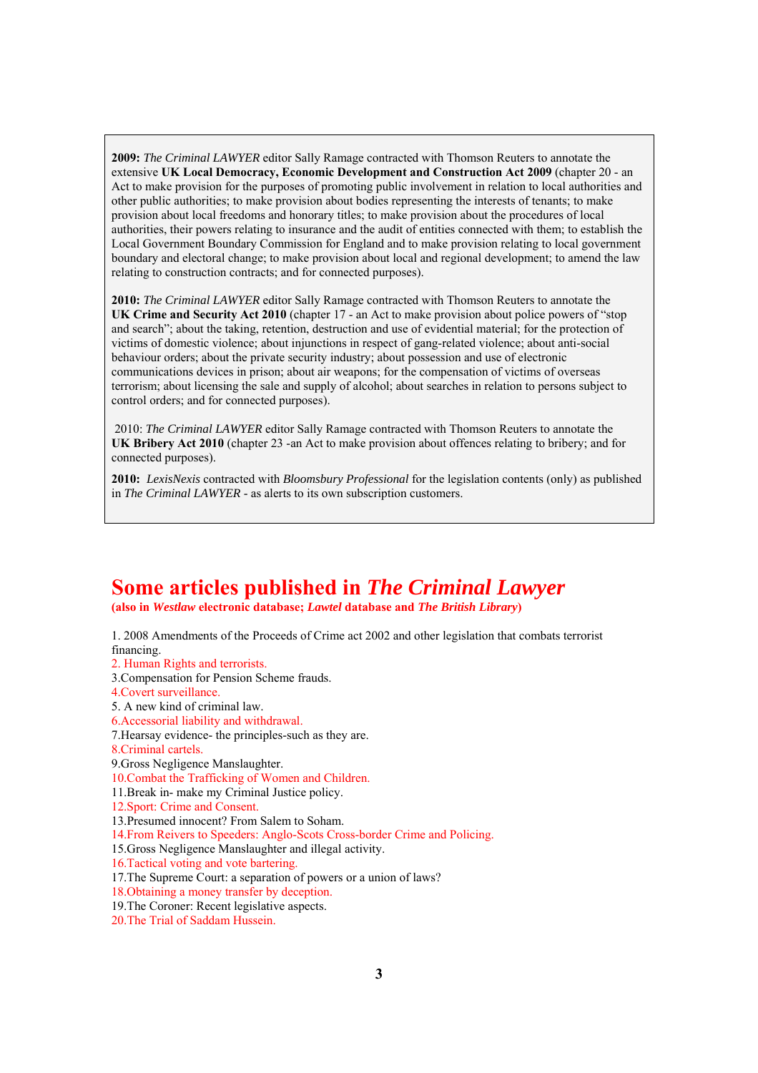**2009:** *The Criminal LAWYER* editor Sally Ramage contracted with Thomson Reuters to annotate the extensive **UK Local Democracy, Economic Development and Construction Act 2009** (chapter 20 - an Act to make provision for the purposes of promoting public involvement in relation to local authorities and other public authorities; to make provision about bodies representing the interests of tenants; to make provision about local freedoms and honorary titles; to make provision about the procedures of local authorities, their powers relating to insurance and the audit of entities connected with them; to establish the Local Government Boundary Commission for England and to make provision relating to local government boundary and electoral change; to make provision about local and regional development; to amend the law relating to construction contracts; and for connected purposes).

**2010:** *The Criminal LAWYER* editor Sally Ramage contracted with Thomson Reuters to annotate the **UK Crime and Security Act 2010** (chapter 17 - an Act to make provision about police powers of "stop and search"; about the taking, retention, destruction and use of evidential material; for the protection of victims of domestic violence; about injunctions in respect of gang-related violence; about anti-social behaviour orders; about the private security industry; about possession and use of electronic communications devices in prison; about air weapons; for the compensation of victims of overseas terrorism; about licensing the sale and supply of alcohol; about searches in relation to persons subject to control orders; and for connected purposes).

 2010: *The Criminal LAWYER* editor Sally Ramage contracted with Thomson Reuters to annotate the **UK Bribery Act 2010** (chapter 23 -an Act to make provision about offences relating to bribery; and for connected purposes).

**2010:** *LexisNexis* contracted with *Bloomsbury Professional* for the legislation contents (only) as published in *The Criminal LAWYER* - as alerts to its own subscription customers.

# **Some articles published in** *The Criminal Lawyer* **(also in** *Westlaw* **electronic database;** *Lawtel* **database and** *The British Library***)**

1. 2008 Amendments of the Proceeds of Crime act 2002 and other legislation that combats terrorist financing.

2. Human Rights and terrorists. 3.Compensation for Pension Scheme frauds.

4.Covert surveillance.

5. A new kind of criminal law.

6.Accessorial liability and withdrawal.

7.Hearsay evidence- the principles-such as they are.

8.Criminal cartels.

9.Gross Negligence Manslaughter.

10.Combat the Trafficking of Women and Children.

11.Break in- make my Criminal Justice policy.

12.Sport: Crime and Consent.

13.Presumed innocent? From Salem to Soham.

14.From Reivers to Speeders: Anglo-Scots Cross-border Crime and Policing.

15.Gross Negligence Manslaughter and illegal activity.

16.Tactical voting and vote bartering.

17.The Supreme Court: a separation of powers or a union of laws?

18.Obtaining a money transfer by deception.

19.The Coroner: Recent legislative aspects.

20.The Trial of Saddam Hussein.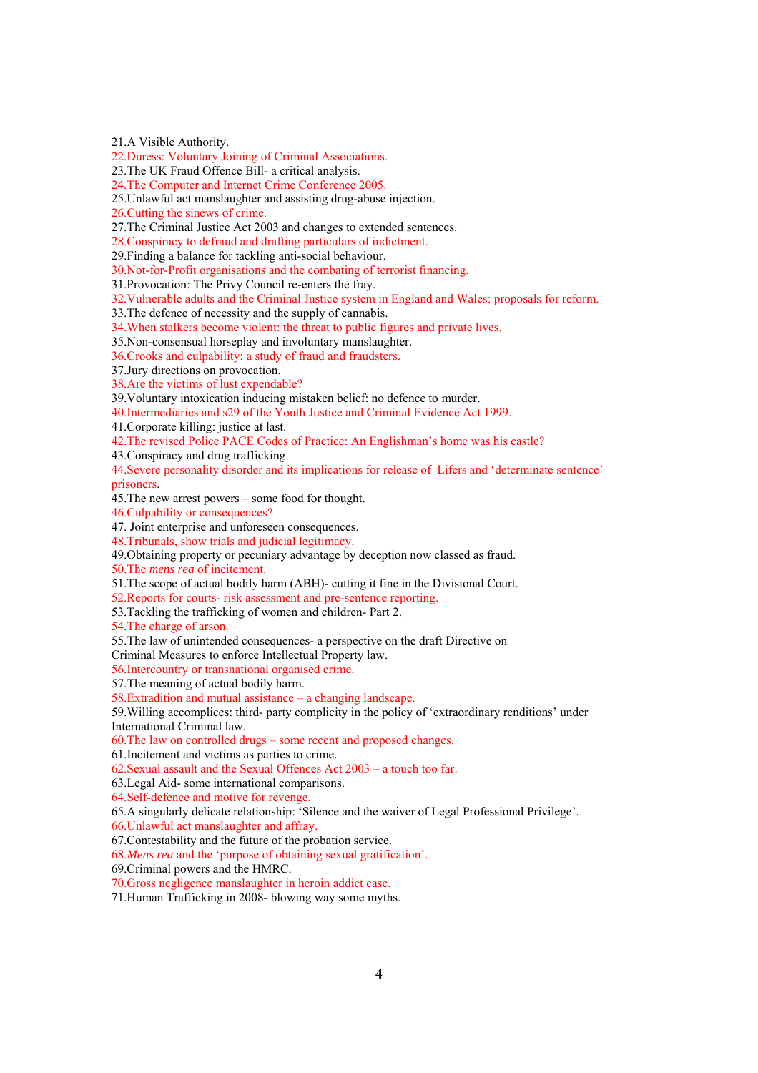21.A Visible Authority.

22.Duress: Voluntary Joining of Criminal Associations.

23.The UK Fraud Offence Bill- a critical analysis.

24.The Computer and Internet Crime Conference 2005.

25.Unlawful act manslaughter and assisting drug-abuse injection.

26.Cutting the sinews of crime.

27.The Criminal Justice Act 2003 and changes to extended sentences.

28.Conspiracy to defraud and drafting particulars of indictment.

29.Finding a balance for tackling anti-social behaviour.

30.Not-for-Profit organisations and the combating of terrorist financing.

31.Provocation: The Privy Council re-enters the fray.

32.Vulnerable adults and the Criminal Justice system in England and Wales: proposals for reform.

33.The defence of necessity and the supply of cannabis.

34.When stalkers become violent: the threat to public figures and private lives.

35.Non-consensual horseplay and involuntary manslaughter.

36.Crooks and culpability: a study of fraud and fraudsters.

37.Jury directions on provocation.

38.Are the victims of lust expendable?

39.Voluntary intoxication inducing mistaken belief: no defence to murder.

40.Intermediaries and s29 of the Youth Justice and Criminal Evidence Act 1999.

41.Corporate killing: justice at last.

42.The revised Police PACE Codes of Practice: An Englishman's home was his castle?

43.Conspiracy and drug trafficking.

44.Severe personality disorder and its implications for release of Lifers and 'determinate sentence' prisoners.

45.The new arrest powers – some food for thought.

46.Culpability or consequences?

47. Joint enterprise and unforeseen consequences.

48.Tribunals, show trials and judicial legitimacy.

49.Obtaining property or pecuniary advantage by deception now classed as fraud.

50.The *mens rea* of incitement.

51.The scope of actual bodily harm (ABH)- cutting it fine in the Divisional Court.

52.Reports for courts- risk assessment and pre-sentence reporting.

53.Tackling the trafficking of women and children- Part 2.

54.The charge of arson.

55.The law of unintended consequences- a perspective on the draft Directive on

Criminal Measures to enforce Intellectual Property law.

56.Intercountry or transnational organised crime.

57.The meaning of actual bodily harm.

58.Extradition and mutual assistance – a changing landscape.

59.Willing accomplices: third- party complicity in the policy of 'extraordinary renditions' under International Criminal law.

60.The law on controlled drugs – some recent and proposed changes.

61.Incitement and victims as parties to crime.

62.Sexual assault and the Sexual Offences Act 2003 – a touch too far.

63.Legal Aid- some international comparisons.

64.Self-defence and motive for revenge.

65.A singularly delicate relationship: 'Silence and the waiver of Legal Professional Privilege'.

66.Unlawful act manslaughter and affray.

67.Contestability and the future of the probation service.

68.*Mens rea* and the 'purpose of obtaining sexual gratification'.

69.Criminal powers and the HMRC.

70.Gross negligence manslaughter in heroin addict case.

71.Human Trafficking in 2008- blowing way some myths.